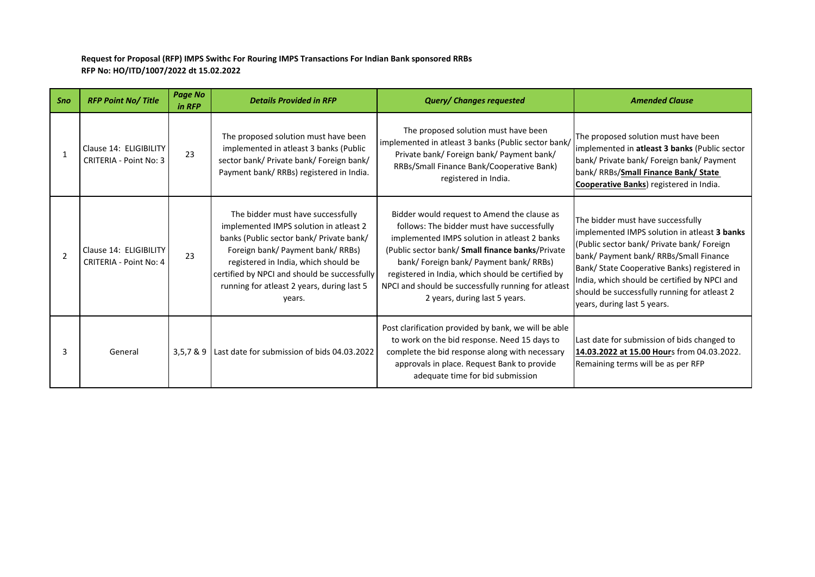## **Request for Proposal (RFP) IMPS Swithc For Rouring IMPS Transactions For Indian Bank sponsored RRBs RFP No: HO/ITD/1007/2022 dt 15.02.2022**

| Sno           | <b>RFP Point No/Title</b>                               | <b>Page No</b><br>in RFP | <b>Details Provided in RFP</b>                                                                                                                                                                                                                                                                               | <b>Query/ Changes requested</b>                                                                                                                                                                                                                                                                                                                                                       | <b>Amended Clause</b>                                                                                                                                                                                                                                                                                                                                    |
|---------------|---------------------------------------------------------|--------------------------|--------------------------------------------------------------------------------------------------------------------------------------------------------------------------------------------------------------------------------------------------------------------------------------------------------------|---------------------------------------------------------------------------------------------------------------------------------------------------------------------------------------------------------------------------------------------------------------------------------------------------------------------------------------------------------------------------------------|----------------------------------------------------------------------------------------------------------------------------------------------------------------------------------------------------------------------------------------------------------------------------------------------------------------------------------------------------------|
| $\mathbf{1}$  | Clause 14: ELIGIBILITY<br><b>CRITERIA - Point No: 3</b> | 23                       | The proposed solution must have been<br>implemented in atleast 3 banks (Public<br>sector bank/ Private bank/ Foreign bank/<br>Payment bank/ RRBs) registered in India.                                                                                                                                       | The proposed solution must have been<br>implemented in atleast 3 banks (Public sector bank/<br>Private bank/ Foreign bank/ Payment bank/<br>RRBs/Small Finance Bank/Cooperative Bank)<br>registered in India.                                                                                                                                                                         | The proposed solution must have been<br>implemented in atleast 3 banks (Public sector<br>bank/ Private bank/ Foreign bank/ Payment<br>bank/ RRBs/Small Finance Bank/ State<br>Cooperative Banks) registered in India.                                                                                                                                    |
| $\mathcal{P}$ | Clause 14: ELIGIBILITY<br><b>CRITERIA - Point No: 4</b> | 23                       | The bidder must have successfully<br>implemented IMPS solution in atleast 2<br>banks (Public sector bank/ Private bank/<br>Foreign bank/ Payment bank/ RRBs)<br>registered in India, which should be<br>certified by NPCI and should be successfully<br>running for atleast 2 years, during last 5<br>years. | Bidder would request to Amend the clause as<br>follows: The bidder must have successfully<br>implemented IMPS solution in atleast 2 banks<br>(Public sector bank/ Small finance banks/Private<br>bank/ Foreign bank/ Payment bank/ RRBs)<br>registered in India, which should be certified by<br>NPCI and should be successfully running for atleast<br>2 years, during last 5 years. | The bidder must have successfully<br>implemented IMPS solution in atleast 3 banks<br>(Public sector bank/ Private bank/ Foreign<br>bank/ Payment bank/ RRBs/Small Finance<br>Bank/ State Cooperative Banks) registered in<br>India, which should be certified by NPCI and<br>should be successfully running for atleast 2<br>years, during last 5 years. |
| २             | General                                                 | 3,5,78.9                 | Last date for submission of bids 04.03.2022                                                                                                                                                                                                                                                                  | Post clarification provided by bank, we will be able<br>to work on the bid response. Need 15 days to<br>complete the bid response along with necessary<br>approvals in place. Request Bank to provide<br>adequate time for bid submission                                                                                                                                             | Last date for submission of bids changed to<br>14.03.2022 at 15.00 Hours from 04.03.2022.<br>Remaining terms will be as per RFP                                                                                                                                                                                                                          |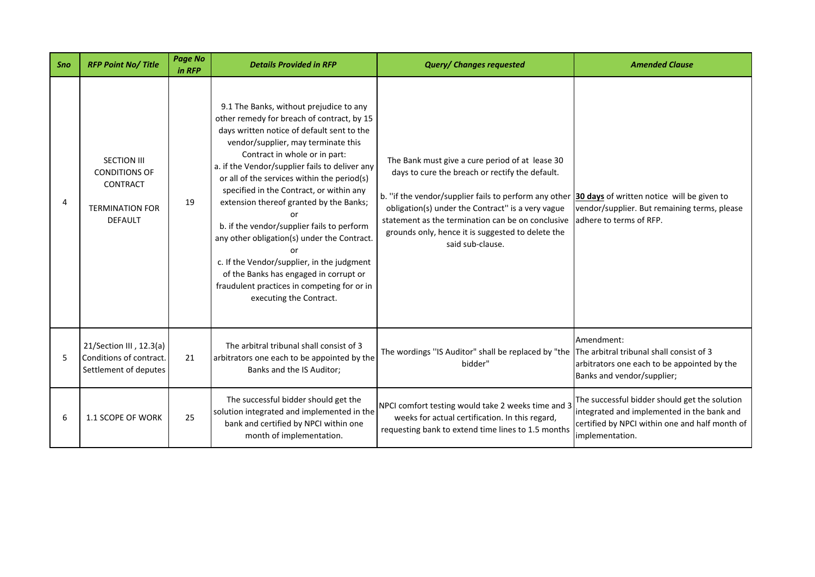| Sno | <b>RFP Point No/Title</b>                                                                                 | <b>Page No</b><br>in RFP | <b>Details Provided in RFP</b>                                                                                                                                                                                                                                                                                                                                                                                                                                                                                                                                                                                                                                           | <b>Query/ Changes requested</b>                                                                                                                                                                                                                                                                                                                                                                     | <b>Amended Clause</b>                                                                                                                                            |
|-----|-----------------------------------------------------------------------------------------------------------|--------------------------|--------------------------------------------------------------------------------------------------------------------------------------------------------------------------------------------------------------------------------------------------------------------------------------------------------------------------------------------------------------------------------------------------------------------------------------------------------------------------------------------------------------------------------------------------------------------------------------------------------------------------------------------------------------------------|-----------------------------------------------------------------------------------------------------------------------------------------------------------------------------------------------------------------------------------------------------------------------------------------------------------------------------------------------------------------------------------------------------|------------------------------------------------------------------------------------------------------------------------------------------------------------------|
| Δ   | <b>SECTION III</b><br><b>CONDITIONS OF</b><br><b>CONTRACT</b><br><b>TERMINATION FOR</b><br><b>DEFAULT</b> | 19                       | 9.1 The Banks, without prejudice to any<br>other remedy for breach of contract, by 15<br>days written notice of default sent to the<br>vendor/supplier, may terminate this<br>Contract in whole or in part:<br>a. if the Vendor/supplier fails to deliver any<br>or all of the services within the period(s)<br>specified in the Contract, or within any<br>extension thereof granted by the Banks;<br>or<br>b. if the vendor/supplier fails to perform<br>any other obligation(s) under the Contract.<br>c. If the Vendor/supplier, in the judgment<br>of the Banks has engaged in corrupt or<br>fraudulent practices in competing for or in<br>executing the Contract. | The Bank must give a cure period of at lease 30<br>days to cure the breach or rectify the default.<br>b. "if the vendor/supplier fails to perform any other $30 \text{ days}$ of written notice will be given to<br>obligation(s) under the Contract" is a very vague<br>statement as the termination can be on conclusive<br>grounds only, hence it is suggested to delete the<br>said sub-clause. | vendor/supplier. But remaining terms, please<br>adhere to terms of RFP.                                                                                          |
| 5   | 21/Section III, 12.3(a)<br>Conditions of contract.<br>Settlement of deputes                               | 21                       | The arbitral tribunal shall consist of 3<br>arbitrators one each to be appointed by the<br>Banks and the IS Auditor;                                                                                                                                                                                                                                                                                                                                                                                                                                                                                                                                                     | The wordings "IS Auditor" shall be replaced by "the The arbitral tribunal shall consist of 3<br>bidder"                                                                                                                                                                                                                                                                                             | Amendment:<br>arbitrators one each to be appointed by the<br>Banks and vendor/supplier;                                                                          |
| 6   | 1.1 SCOPE OF WORK                                                                                         | 25                       | The successful bidder should get the<br>solution integrated and implemented in the<br>bank and certified by NPCI within one<br>month of implementation.                                                                                                                                                                                                                                                                                                                                                                                                                                                                                                                  | NPCI comfort testing would take 2 weeks time and 3<br>weeks for actual certification. In this regard,<br>requesting bank to extend time lines to 1.5 months                                                                                                                                                                                                                                         | The successful bidder should get the solution<br>integrated and implemented in the bank and<br>certified by NPCI within one and half month of<br>implementation. |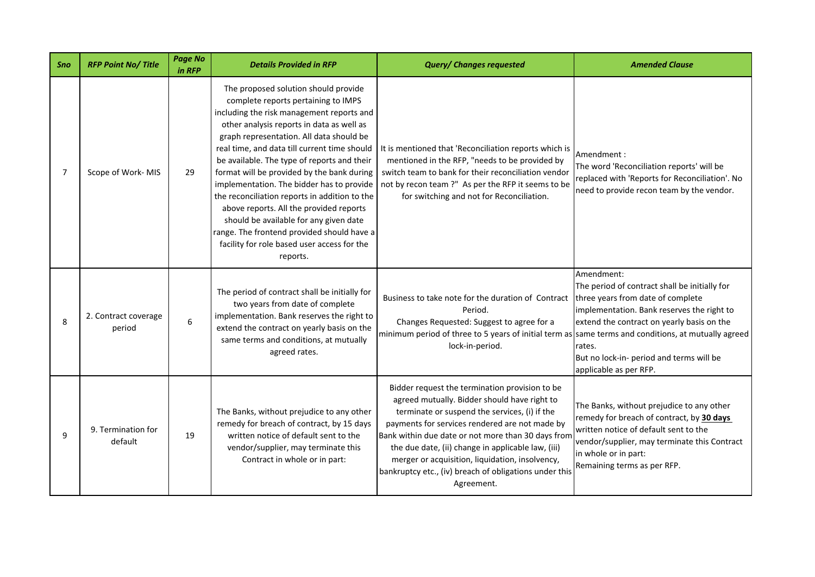| Sno | <b>RFP Point No/Title</b>      | <b>Page No</b><br>in RFP | <b>Details Provided in RFP</b>                                                                                                                                                                                                                                                                                                                                                                                                                                                                                                                                                                                                                             | <b>Query/ Changes requested</b>                                                                                                                                                                                                                                                                                                                                                                                                          | <b>Amended Clause</b>                                                                                                                                                                                                                                                        |
|-----|--------------------------------|--------------------------|------------------------------------------------------------------------------------------------------------------------------------------------------------------------------------------------------------------------------------------------------------------------------------------------------------------------------------------------------------------------------------------------------------------------------------------------------------------------------------------------------------------------------------------------------------------------------------------------------------------------------------------------------------|------------------------------------------------------------------------------------------------------------------------------------------------------------------------------------------------------------------------------------------------------------------------------------------------------------------------------------------------------------------------------------------------------------------------------------------|------------------------------------------------------------------------------------------------------------------------------------------------------------------------------------------------------------------------------------------------------------------------------|
| 7   | Scope of Work-MIS              | 29                       | The proposed solution should provide<br>complete reports pertaining to IMPS<br>including the risk management reports and<br>other analysis reports in data as well as<br>graph representation. All data should be<br>real time, and data till current time should<br>be available. The type of reports and their<br>format will be provided by the bank during<br>implementation. The bidder has to provide<br>the reconciliation reports in addition to the<br>above reports. All the provided reports<br>should be available for any given date<br>range. The frontend provided should have a<br>facility for role based user access for the<br>reports. | It is mentioned that 'Reconciliation reports which is<br>mentioned in the RFP, "needs to be provided by<br>switch team to bank for their reconciliation vendor<br>not by recon team ?" As per the RFP it seems to be<br>for switching and not for Reconciliation.                                                                                                                                                                        | Amendment:<br>The word 'Reconciliation reports' will be<br>replaced with 'Reports for Reconciliation'. No<br>need to provide recon team by the vendor.                                                                                                                       |
| 8   | 2. Contract coverage<br>period | 6                        | The period of contract shall be initially for<br>two years from date of complete<br>implementation. Bank reserves the right to<br>extend the contract on yearly basis on the<br>same terms and conditions, at mutually<br>agreed rates.                                                                                                                                                                                                                                                                                                                                                                                                                    | Business to take note for the duration of Contract<br>Period.<br>Changes Requested: Suggest to agree for a<br>minimum period of three to 5 years of initial term as same terms and conditions, at mutually agreed<br>lock-in-period.                                                                                                                                                                                                     | Amendment:<br>The period of contract shall be initially for<br>three years from date of complete<br>implementation. Bank reserves the right to<br>extend the contract on yearly basis on the<br>rates.<br>But no lock-in- period and terms will be<br>applicable as per RFP. |
| q   | 9. Termination for<br>default  | 19                       | The Banks, without prejudice to any other<br>remedy for breach of contract, by 15 days<br>written notice of default sent to the<br>vendor/supplier, may terminate this<br>Contract in whole or in part:                                                                                                                                                                                                                                                                                                                                                                                                                                                    | Bidder request the termination provision to be<br>agreed mutually. Bidder should have right to<br>terminate or suspend the services, (i) if the<br>payments for services rendered are not made by<br>Bank within due date or not more than 30 days from<br>the due date, (ii) change in applicable law, (iii)<br>merger or acquisition, liquidation, insolvency,<br>bankruptcy etc., (iv) breach of obligations under this<br>Agreement. | The Banks, without prejudice to any other<br>remedy for breach of contract, by 30 days<br>written notice of default sent to the<br>vendor/supplier, may terminate this Contract<br>in whole or in part:<br>Remaining terms as per RFP.                                       |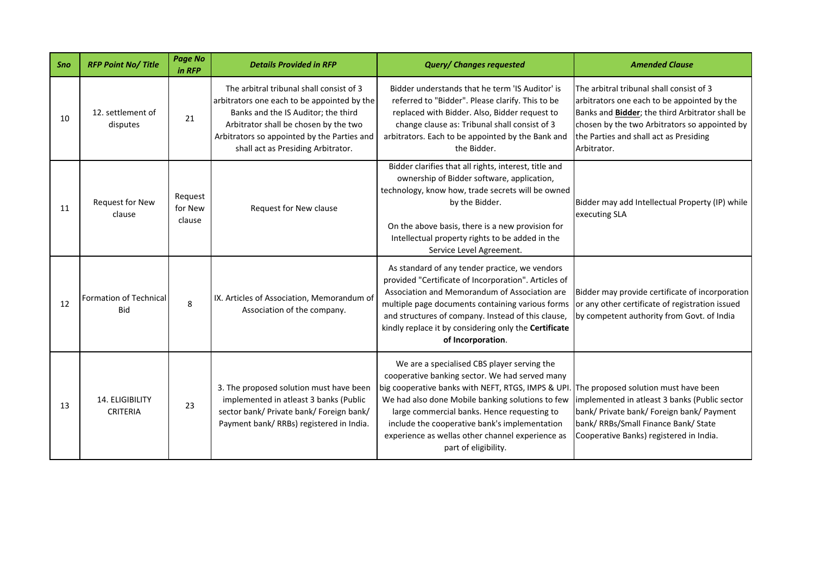| Sno | <b>RFP Point No/ Title</b>                  | <b>Page No</b><br>in RFP     | <b>Details Provided in RFP</b>                                                                                                                                                                                                                               | <b>Query/ Changes requested</b>                                                                                                                                                                                                                                                                                                                                                     | <b>Amended Clause</b>                                                                                                                                                                                                                                |
|-----|---------------------------------------------|------------------------------|--------------------------------------------------------------------------------------------------------------------------------------------------------------------------------------------------------------------------------------------------------------|-------------------------------------------------------------------------------------------------------------------------------------------------------------------------------------------------------------------------------------------------------------------------------------------------------------------------------------------------------------------------------------|------------------------------------------------------------------------------------------------------------------------------------------------------------------------------------------------------------------------------------------------------|
| 10  | 12. settlement of<br>disputes               | 21                           | The arbitral tribunal shall consist of 3<br>arbitrators one each to be appointed by the<br>Banks and the IS Auditor; the third<br>Arbitrator shall be chosen by the two<br>Arbitrators so appointed by the Parties and<br>shall act as Presiding Arbitrator. | Bidder understands that he term 'IS Auditor' is<br>referred to "Bidder". Please clarify. This to be<br>replaced with Bidder. Also, Bidder request to<br>change clause as: Tribunal shall consist of 3<br>arbitrators. Each to be appointed by the Bank and<br>the Bidder.                                                                                                           | The arbitral tribunal shall consist of 3<br>arbitrators one each to be appointed by the<br>Banks and Bidder; the third Arbitrator shall be<br>chosen by the two Arbitrators so appointed by<br>the Parties and shall act as Presiding<br>Arbitrator. |
| 11  | Request for New<br>clause                   | Request<br>for New<br>clause | Request for New clause                                                                                                                                                                                                                                       | Bidder clarifies that all rights, interest, title and<br>ownership of Bidder software, application,<br>technology, know how, trade secrets will be owned<br>by the Bidder.<br>On the above basis, there is a new provision for<br>Intellectual property rights to be added in the<br>Service Level Agreement.                                                                       | Bidder may add Intellectual Property (IP) while<br>executing SLA                                                                                                                                                                                     |
| 12  | <b>Formation of Technical</b><br><b>Bid</b> | 8                            | IX. Articles of Association, Memorandum of<br>Association of the company.                                                                                                                                                                                    | As standard of any tender practice, we vendors<br>provided "Certificate of Incorporation". Articles of<br>Association and Memorandum of Association are<br>multiple page documents containing various forms<br>and structures of company. Instead of this clause,<br>kindly replace it by considering only the Certificate<br>of Incorporation.                                     | Bidder may provide certificate of incorporation<br>or any other certificate of registration issued<br>by competent authority from Govt. of India                                                                                                     |
| 13  | 14. ELIGIBILITY<br><b>CRITERIA</b>          | 23                           | 3. The proposed solution must have been<br>implemented in atleast 3 banks (Public<br>sector bank/ Private bank/ Foreign bank/<br>Payment bank/ RRBs) registered in India.                                                                                    | We are a specialised CBS player serving the<br>cooperative banking sector. We had served many<br>big cooperative banks with NEFT, RTGS, IMPS & UPI.<br>We had also done Mobile banking solutions to few<br>large commercial banks. Hence requesting to<br>include the cooperative bank's implementation<br>experience as wellas other channel experience as<br>part of eligibility. | The proposed solution must have been<br>implemented in atleast 3 banks (Public sector<br>bank/ Private bank/ Foreign bank/ Payment<br>bank/ RRBs/Small Finance Bank/ State<br>Cooperative Banks) registered in India.                                |